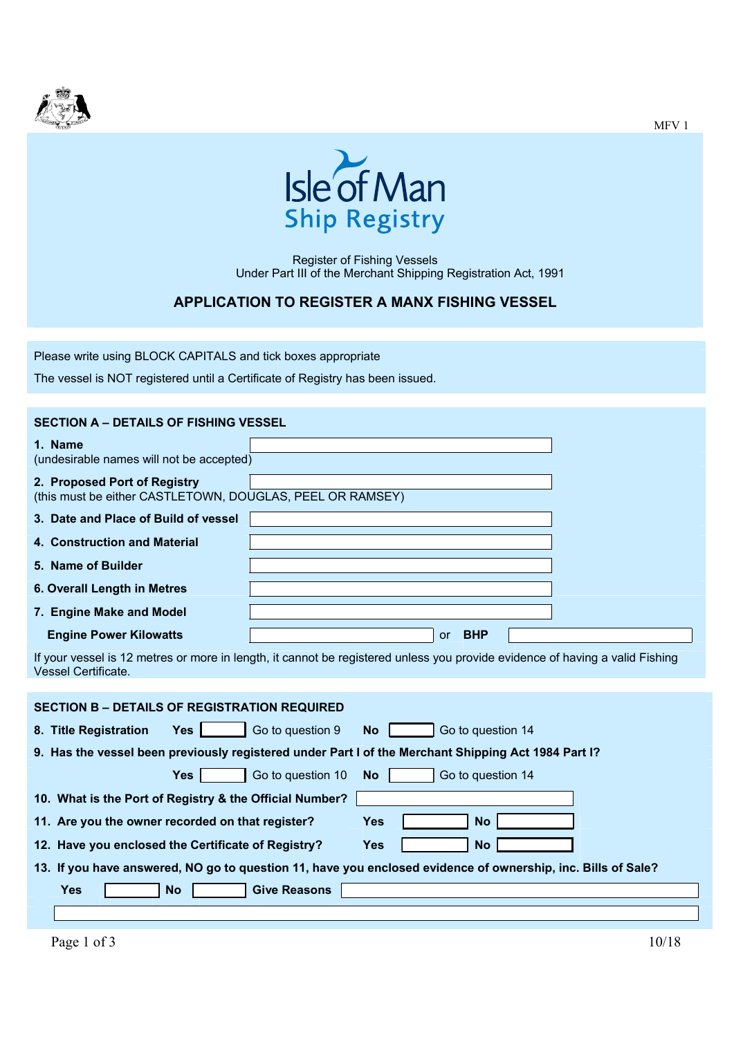



Register of Fishing Vessels Under Part III of the Merchant Shipping Registration Act, 1991

## **APPLICATION TO REGISTER A MANX FISHING VESSEL**

Please write using BLOCK CAPITALS and tick boxes appropriate

The vessel is NOT registered until a Certificate of Registry has been issued.

| <b>SECTION A - DETAILS OF FISHING VESSEL</b>                                                                 |                                                                                                                              |  |  |  |  |  |
|--------------------------------------------------------------------------------------------------------------|------------------------------------------------------------------------------------------------------------------------------|--|--|--|--|--|
| 1. Name<br>(undesirable names will not be accepted)                                                          |                                                                                                                              |  |  |  |  |  |
| 2. Proposed Port of Registry<br>(this must be either CASTLETOWN, DOUGLAS, PEEL OR RAMSEY)                    |                                                                                                                              |  |  |  |  |  |
| 3. Date and Place of Build of vessel                                                                         |                                                                                                                              |  |  |  |  |  |
| 4. Construction and Material                                                                                 |                                                                                                                              |  |  |  |  |  |
| 5. Name of Builder                                                                                           |                                                                                                                              |  |  |  |  |  |
| 6. Overall Length in Metres                                                                                  |                                                                                                                              |  |  |  |  |  |
| 7. Engine Make and Model                                                                                     |                                                                                                                              |  |  |  |  |  |
| <b>Engine Power Kilowatts</b>                                                                                | <b>BHP</b><br><b>or</b>                                                                                                      |  |  |  |  |  |
| <b>Vessel Certificate.</b>                                                                                   | If your vessel is 12 metres or more in length, it cannot be registered unless you provide evidence of having a valid Fishing |  |  |  |  |  |
| <b>SECTION B - DETAILS OF REGISTRATION REQUIRED</b>                                                          |                                                                                                                              |  |  |  |  |  |
| 8. Title Registration<br><b>Yes</b>                                                                          | Go to question 14<br>Go to question 9<br><b>No</b>                                                                           |  |  |  |  |  |
| 9. Has the vessel been previously registered under Part I of the Merchant Shipping Act 1984 Part I?          |                                                                                                                              |  |  |  |  |  |
| <b>Yes</b>                                                                                                   | Go to question 10<br>Go to question 14<br><b>No</b>                                                                          |  |  |  |  |  |
| 10. What is the Port of Registry & the Official Number?                                                      |                                                                                                                              |  |  |  |  |  |
| 11. Are you the owner recorded on that register?                                                             | <b>No</b><br>Yes                                                                                                             |  |  |  |  |  |
| 12. Have you enclosed the Certificate of Registry?                                                           | <b>Yes</b><br><b>No</b>                                                                                                      |  |  |  |  |  |
| 13. If you have answered, NO go to question 11, have you enclosed evidence of ownership, inc. Bills of Sale? |                                                                                                                              |  |  |  |  |  |
| <b>Yes</b><br><b>No</b>                                                                                      | <b>Give Reasons</b>                                                                                                          |  |  |  |  |  |
|                                                                                                              |                                                                                                                              |  |  |  |  |  |

MFV 1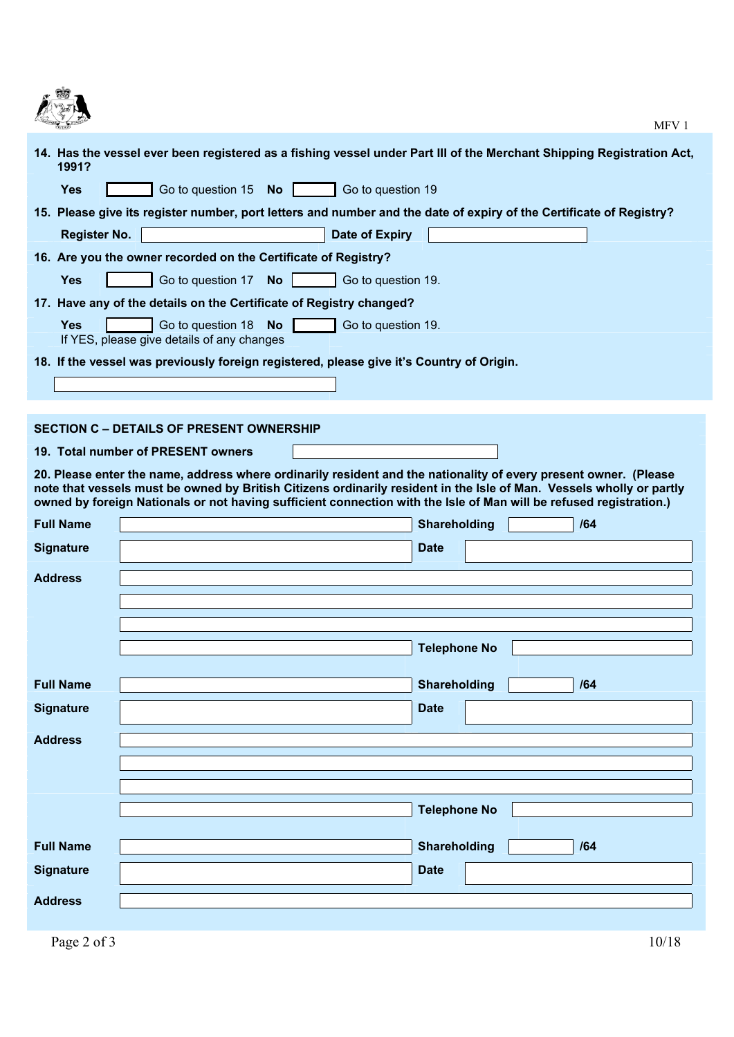

| <b>START START</b>  | MFV <sub>1</sub>                                                                                                                                                                                                                                                                                                                                               |  |  |  |  |  |  |  |
|---------------------|----------------------------------------------------------------------------------------------------------------------------------------------------------------------------------------------------------------------------------------------------------------------------------------------------------------------------------------------------------------|--|--|--|--|--|--|--|
| 1991?               | 14. Has the vessel ever been registered as a fishing vessel under Part III of the Merchant Shipping Registration Act,                                                                                                                                                                                                                                          |  |  |  |  |  |  |  |
| <b>Yes</b>          | Go to question 19                                                                                                                                                                                                                                                                                                                                              |  |  |  |  |  |  |  |
|                     | 15. Please give its register number, port letters and number and the date of expiry of the Certificate of Registry?                                                                                                                                                                                                                                            |  |  |  |  |  |  |  |
| <b>Register No.</b> | Date of Expiry                                                                                                                                                                                                                                                                                                                                                 |  |  |  |  |  |  |  |
|                     | 16. Are you the owner recorded on the Certificate of Registry?                                                                                                                                                                                                                                                                                                 |  |  |  |  |  |  |  |
| <b>Yes</b>          | Go to question 17 No<br>Go to question 19.                                                                                                                                                                                                                                                                                                                     |  |  |  |  |  |  |  |
|                     | 17. Have any of the details on the Certificate of Registry changed?                                                                                                                                                                                                                                                                                            |  |  |  |  |  |  |  |
| <b>Yes</b>          | Go to question 18 No<br>Go to question 19.<br>If YES, please give details of any changes                                                                                                                                                                                                                                                                       |  |  |  |  |  |  |  |
|                     | 18. If the vessel was previously foreign registered, please give it's Country of Origin.                                                                                                                                                                                                                                                                       |  |  |  |  |  |  |  |
|                     |                                                                                                                                                                                                                                                                                                                                                                |  |  |  |  |  |  |  |
|                     |                                                                                                                                                                                                                                                                                                                                                                |  |  |  |  |  |  |  |
|                     | <b>SECTION C - DETAILS OF PRESENT OWNERSHIP</b>                                                                                                                                                                                                                                                                                                                |  |  |  |  |  |  |  |
|                     | 19. Total number of PRESENT owners                                                                                                                                                                                                                                                                                                                             |  |  |  |  |  |  |  |
|                     | 20. Please enter the name, address where ordinarily resident and the nationality of every present owner. (Please<br>note that vessels must be owned by British Citizens ordinarily resident in the Isle of Man. Vessels wholly or partly<br>owned by foreign Nationals or not having sufficient connection with the Isle of Man will be refused registration.) |  |  |  |  |  |  |  |
| <b>Full Name</b>    | <b>Shareholding</b><br>/64                                                                                                                                                                                                                                                                                                                                     |  |  |  |  |  |  |  |
| <b>Signature</b>    | <b>Date</b>                                                                                                                                                                                                                                                                                                                                                    |  |  |  |  |  |  |  |
| <b>Address</b>      |                                                                                                                                                                                                                                                                                                                                                                |  |  |  |  |  |  |  |
|                     |                                                                                                                                                                                                                                                                                                                                                                |  |  |  |  |  |  |  |
|                     |                                                                                                                                                                                                                                                                                                                                                                |  |  |  |  |  |  |  |
|                     | <b>Telephone No</b>                                                                                                                                                                                                                                                                                                                                            |  |  |  |  |  |  |  |
|                     |                                                                                                                                                                                                                                                                                                                                                                |  |  |  |  |  |  |  |
| <b>Full Name</b>    | <b>Shareholding</b><br>/64                                                                                                                                                                                                                                                                                                                                     |  |  |  |  |  |  |  |
| <b>Signature</b>    | <b>Date</b>                                                                                                                                                                                                                                                                                                                                                    |  |  |  |  |  |  |  |
| <b>Address</b>      |                                                                                                                                                                                                                                                                                                                                                                |  |  |  |  |  |  |  |
|                     |                                                                                                                                                                                                                                                                                                                                                                |  |  |  |  |  |  |  |
|                     |                                                                                                                                                                                                                                                                                                                                                                |  |  |  |  |  |  |  |
|                     | <b>Telephone No</b>                                                                                                                                                                                                                                                                                                                                            |  |  |  |  |  |  |  |
|                     |                                                                                                                                                                                                                                                                                                                                                                |  |  |  |  |  |  |  |
| <b>Full Name</b>    | <b>Shareholding</b><br>/64                                                                                                                                                                                                                                                                                                                                     |  |  |  |  |  |  |  |
| <b>Signature</b>    | <b>Date</b>                                                                                                                                                                                                                                                                                                                                                    |  |  |  |  |  |  |  |
| <b>Address</b>      |                                                                                                                                                                                                                                                                                                                                                                |  |  |  |  |  |  |  |
|                     |                                                                                                                                                                                                                                                                                                                                                                |  |  |  |  |  |  |  |
| Page 2 of 3         | 10/18                                                                                                                                                                                                                                                                                                                                                          |  |  |  |  |  |  |  |